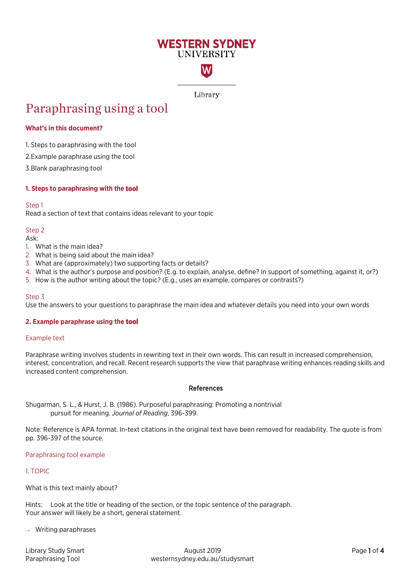# **WESTERN SYDNEY IINIVERSITY**

W

Library

# Paraphrasing using a tool

# **What's in this document?**

1. Steps to [paraphrasing](#page-0-0) with the tool

2.[Example paraphrase using the](#page-0-1) tool

3.[Blank paraphrasing](#page-2-0) tool

# <span id="page-0-0"></span>**1. Steps to paraphrasing with the tool**

# Step 1

Read a section of text that contains ideas relevant to your topic

# Step 2

Ask:

- 1. What is the main idea?
- 2. What is being said about the main idea?
- 3. What are (approximately) two supporting facts or details?
- 4. What is the author's purpose and position? (E.g. to explain, analyse, define? In support of something, against it, or?)
- 5. How is the author writing about the topic? (E.g., uses an example, compares or contrasts?)

# Step 3

Use the answers to your questions to paraphrase the main idea and whatever details you need into your own words

# <span id="page-0-1"></span>**2. Example paraphrase using the tool**

# Example text

Paraphrase writing involves students in rewriting text in their own words. This can result in increased comprehension, interest, concentration, and recall. Recent research supports the view that paraphrase writing enhances reading skills and increased content comprehension.

# References

Shugarman, S. L., & Hurst, J. B. (1986). Purposeful paraphrasing: Promoting a nontrivial pursuit for meaning. *Journal of Reading*, 396-399.

Note: Reference is APA format. In-text citations in the original text have been removed for readability. The quote is from pp. 396-397 of the source.

# Paraphrasing tool example

# 1. TOPIC

What is this text mainly about?

Hints: Look at the title or heading of the section, or the topic sentence of the paragraph. Your answer will likely be a short, general statement.

 $\rightarrow$  Writing paraphrases

| Library Study Smart |
|---------------------|
| Paraphrasing Tool   |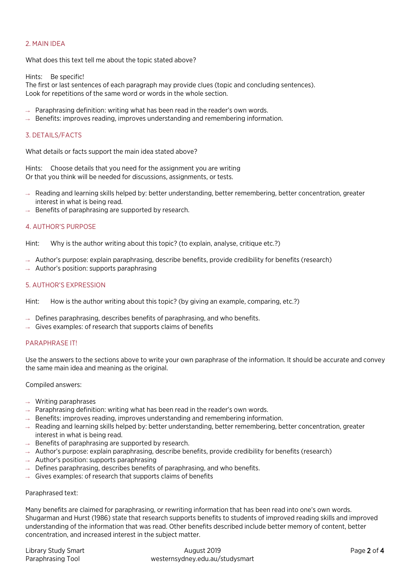# 2. MAIN IDEA

What does this text tell me about the topic stated above?

Hints: Be specific!

The first or last sentences of each paragraph may provide clues (topic and concluding sentences). Look for repetitions of the same word or words in the whole section.

- $\rightarrow$  Paraphrasing definition: writing what has been read in the reader's own words.
- $\rightarrow$  Benefits: improves reading, improves understanding and remembering information.

# 3. DETAILS/FACTS

What details or facts support the main idea stated above?

Hints: Choose details that you need for the assignment you are writing Or that you think will be needed for discussions, assignments, or tests.

- Reading and learning skills helped by: better understanding, better remembering, better concentration, greater interest in what is being read.
- $\rightarrow$  Benefits of paraphrasing are supported by research.

# 4. AUTHOR'S PURPOSE

Hint: Why is the author writing about this topic? (to explain, analyse, critique etc.?)

- Author's purpose: explain paraphrasing, describe benefits, provide credibility for benefits (research)
- Author's position: supports paraphrasing

# 5. AUTHOR'S EXPRESSION

Hint: How is the author writing about this topic? (by giving an example, comparing, etc.?)

- $\rightarrow$  Defines paraphrasing, describes benefits of paraphrasing, and who benefits.
- Gives examples: of research that supports claims of benefits

# PARAPHRASE IT!

Use the answers to the sections above to write your own paraphrase of the information. It should be accurate and convey the same main idea and meaning as the original.

Compiled answers:

- $\rightarrow$  Writing paraphrases
- $\rightarrow$  Paraphrasing definition: writing what has been read in the reader's own words.
- $\rightarrow$  Benefits: improves reading, improves understanding and remembering information.
- $\rightarrow$  Reading and learning skills helped by: better understanding, better remembering, better concentration, greater interest in what is being read.
- $\rightarrow$  Benefits of paraphrasing are supported by research.
- $\rightarrow$  Author's purpose: explain paraphrasing, describe benefits, provide credibility for benefits (research)
- $\rightarrow$  Author's position: supports paraphrasing
- $\rightarrow$  Defines paraphrasing, describes benefits of paraphrasing, and who benefits.
- $\rightarrow$  Gives examples: of research that supports claims of benefits

# Paraphrased text:

Many benefits are claimed for paraphrasing, or rewriting information that has been read into one's own words. Shugarman and Hurst (1986) state that research supports benefits to students of improved reading skills and improved understanding of the information that was read. Other benefits described include better memory of content, better concentration, and increased interest in the subject matter.

| Library Study Smart | August 2019                     | Page 2 of 4 |
|---------------------|---------------------------------|-------------|
| Paraphrasing Tool   | westernsydney.edu.au/studysmart |             |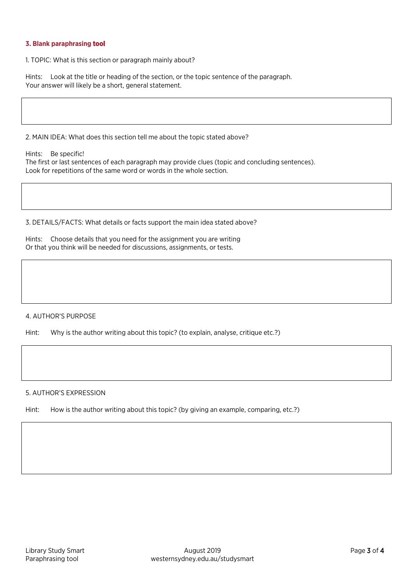# <span id="page-2-0"></span>**3. Blank paraphrasing tool**

1. TOPIC: What is this section or paragraph mainly about?

Hints: Look at the title or heading of the section, or the topic sentence of the paragraph. Your answer will likely be a short, general statement.

2. MAIN IDEA: What does this section tell me about the topic stated above?

Hints: Be specific!

The first or last sentences of each paragraph may provide clues (topic and concluding sentences). Look for repetitions of the same word or words in the whole section.

3. DETAILS/FACTS: What details or facts support the main idea stated above?

Hints: Choose details that you need for the assignment you are writing Or that you think will be needed for discussions, assignments, or tests.

# 4. AUTHOR'S PURPOSE

Hint: Why is the author writing about this topic? (to explain, analyse, critique etc.?)

# 5. AUTHOR'S EXPRESSION

Hint: How is the author writing about this topic? (by giving an example, comparing, etc.?)